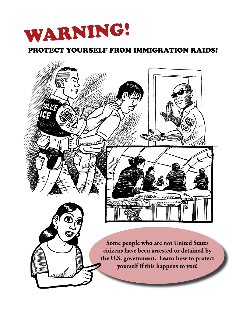

### Protect yourself from Immigration Raids!

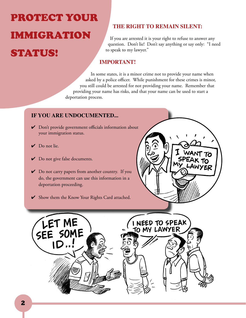# Protect your Immigration **STATUS!**

#### **the right to remain silent:**

If you are arrested it is your right to refuse to answer any question. Don't lie! Don't say anything or say only: "I need to speak to my lawyer."

### **Important!**

In some states, it is a minor crime not to provide your name when asked by a police officer. While punishment for these crimes is minor, you still could be arrested for not providing your name. Remember that providing your name has risks, and that your name can be used to start a deportation process.

#### **If you are undocumented...**

- Don't provide government officials information about ✔ your immigration status.
- ◆ Do not lie.
- ◆ Do not give false documents.
- Do not carry papers from another country. If you ✔ do, the government can use this information in a deportation proceeding.
- ✔ Show them the Know Your Rights Card attached.

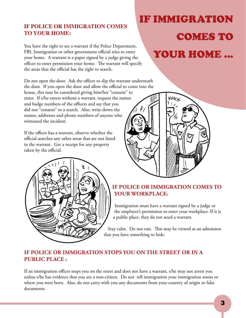### **if Police or Immigration COMES TO YOUR HOME:**

You have the right to see a warrant if the Police Department, FBI, Immigration or other government official tries to enter your home. A warrant is a paper signed by a judge giving the officer to enter permission your home. The warrant will specify the areas that the official has the right to search.

Do not open the door. Ask the officer to slip the warrant underneath the door. If you open the door and allow the official to come into the

house, this may be considered giving him/her "consent" to enter. If s/he enters without a warrant, request the names and badge numbers of the officers and say that you did not "consent" to a search. Also, write down the names, addresses and phone numbers of anyone who witnessed the incident.

If the officer has a warrant, observe whether the official searches any other areas that are not listed in the warrant. Get a receipt for any property taken by the official.



## If immigration comes to your home ...



### **IF POLICE OR IMMIGRATION Comes to your workplace:**

Immigration must have a warrant signed by a judge or the employer's permission to enter your workplace. If it is a public place, they do not need a warrant.

Stay calm. Do not run. This may be viewed as an admission that you have something to hide.

### **IF POLICE OR IMMIGRATION Stops you on the street or in a public place :**

If an immigration officer stops you on the street and does not have a warrant, s/he may not arrest you unless s/he has evidence that you are a non-citizen. Do not tell immigration your immigration status or where you were born. Also, do not carry with you any documents from your country of origin or false documents.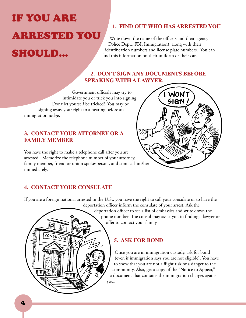### If you are arrested you should...

### **1. Find out who has arrested you**

Write down the name of the officers and their agency (Police Dept., FBI, Immigration), along with their identification numbers and license plate numbers. You can find this information on their uniform or their cars.

### **2. Don't sign any documents before speaking with a lawyer.**

 Government officials may try to intimidate you or trick you into signing. Don't let yourself be tricked! You may be signing away your right to a hearing before an immigration judge.

### **3. Contact your attorney or a family member**

You have the right to make a telephone call after you are arrested. Memorize the telephone number of your attorney, family member, friend or union spokesperson, and contact him/her immediately.

### **4. CONTACT YOUR CONSULATE**

If you are a foreign national arrested in the U.S., you have the right to call your consulate or to have the

deportation officer inform the consulate of your arrest. Ask the deportation officer to see a list of embassies and write down the phone number. The consul may assist you in finding a lawyer or offer to contact your family.

### **5. Ask for bond**

Once you are in immigration custody, ask for bond (even if immigration says you are not eligible). You have to show that you are not a flight risk or a danger to the community. Also, get a copy of the "Notice to Appear," a document that contains the immigration charges against you.



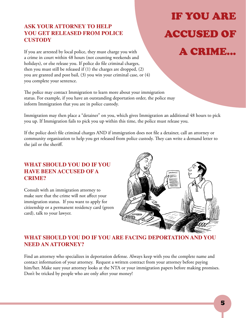### **ask your attorney to help you get released from police custody**

## If you are accused of a crime...

If you are arrested by local police, they must charge you with a crime in court within 48 hours (not counting weekends and holidays), or else release you. If police do file criminal charges, then you must still be released if (1) the charges are dropped, (2) you are granted and post bail, (3) you win your criminal case, or (4) you complete your sentence.

The police may contact Immigration to learn more about your immigration status. For example, if you have an outstanding deportation order, the police may inform Immigration that you are in police custody.

Immigration may then place a "detainer" on you, which gives Immigration an additional 48 hours to pick you up. If Immigration fails to pick you up within this time, the police must release you.

If the police don't file criminal charges AND if immigration does not file a detainer, call an attorney or community organization to help you get released from police custody. They can write a demand letter to the jail or the sheriff.

### **What should you do if you have been accused of a crime?**

Consult with an immigration attorney to make sure that the crime will not affect your immigration status. If you want to apply for citizenship or a permanent residency card (green card), talk to your lawyer.



### **What should you do if you are facing deportation and you need an attorney?**

Find an attorney who specializes in deportation defense. Always keep with you the complete name and contact information of your attorney. Request a written contract from your attorney before paying him/her. Make sure your attorney looks at the NTA or your immigration papers before making promises. Don't be tricked by people who are only after your money!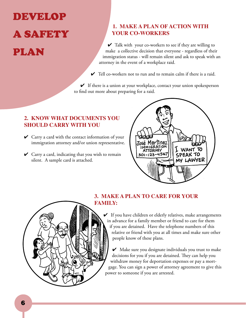## Develop a safety plan

### **1. MAKE A PLAN OF ACTION WITH YOUR CO-WORKERS**

✔ Talk with your co-workers to see if they are willing to make a collective decision that everyone - regardless of their immigration status - will remain silent and ask to speak with an attorney in the event of a workplace raid.

 $\checkmark$  Tell co-workers not to run and to remain calm if there is a raid.

✔ If there is a union at your workplace, contact your union spokesperson to find out more about preparing for a raid.

### **2. KNOW WHAT DOCUMENTS YOU SHOULD CARRY WITH YOU**

- $\checkmark$  Carry a card with the contact information of your immigration attorney and/or union representative.
- $\checkmark$  Carry a card, indicating that you wish to remain silent. A sample card is attached.





### **3. MAKE A PLAN TO CARE FOR YOUR FAMILY:**

 $\checkmark$  If you have children or elderly relatives, make arrangements in advance for a family member or friend to care for them if you are detained. Have the telephone numbers of this relative or friend with you at all times and make sure other people know of these plans.

 $\blacktriangleright$  Make sure you designate individuals you trust to make decisions for you if you are detained. They can help you withdraw money for deportation expenses or pay a mortgage. You can sign a power of attorney agreement to give this power to someone if you are arrested.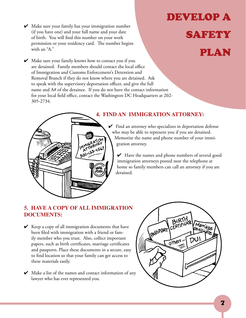$\blacktriangleright$  Make sure your family has your immigration number (if you have one) and your full name and your date of birth. You will find this number on your work permission or your residency card. The number begins with an "A."

# Develop a **SAFETY** plan

Make sure your family knows how to contact you if you ✔ are detained. Family members should contact the local office of Immigration and Customs Enforcement's Detention and Removal Branch if they do not know where you are detained. Ask to speak with the supervisory deportation officer, and give the full name and A# of the detainee. If you do not have the contact information for your local field office, contact the Washington DC Headquarters at 202- 305-2734.



### **4. FIND AN IMMIGRATION ATTORNEY:**

 $\blacktriangleright$  Find an attorney who specializes in deportation defense who may be able to represent you if you are detained. Memorize the name and phone number of your immigration attorney.

✔ Have the names and phone numbers of several good immigration attorneys posted near the telephone at home so family members can call an attorney if you are detained.

### **5. HAVE A COPY OF ALL IMMIGRATION DOCUMENTS:**

- $\blacktriangleright$  Keep a copy of all immigration documents that have been filed with immigration with a friend or family member who you trust. Also, collect important papers, such as birth certificates, marriage certificates and passports. Place these documents in a secure, easy to find location so that your family can get access to these materials easily.
- $\blacktriangleright$  Make a list of the names and contact information of any lawyer who has ever represented you.